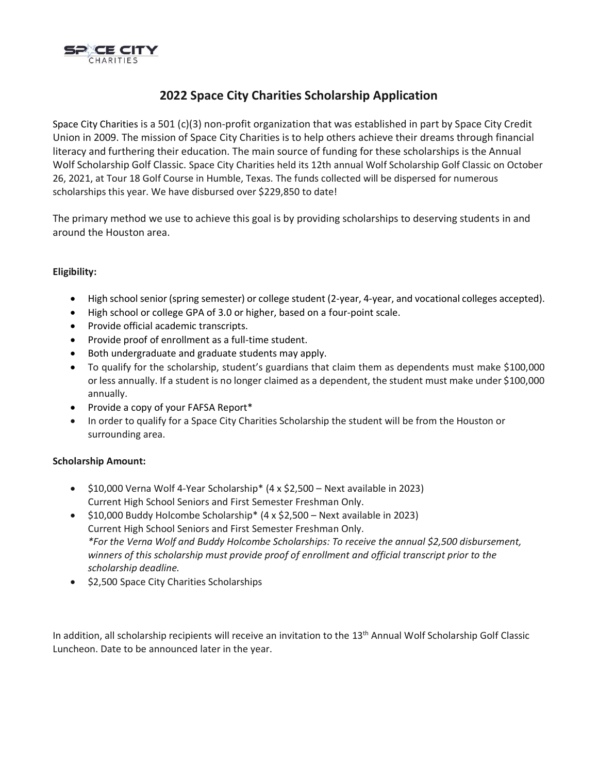

# **2022 Space City Charities Scholarship Application**

Space City Charities is a 501 (c)(3) non-profit organization that was established in part by Space City Credit Union in 2009. The mission of Space City Charities is to help others achieve their dreams through financial literacy and furthering their education. The main source of funding for these scholarships is the Annual Wolf Scholarship Golf Classic. Space City Charities held its 12th annual Wolf Scholarship Golf Classic on October 26, 2021, at Tour 18 Golf Course in Humble, Texas. The funds collected will be dispersed for numerous scholarships this year. We have disbursed over \$229,850 to date!

The primary method we use to achieve this goal is by providing scholarships to deserving students in and around the Houston area.

## **Eligibility:**

- High school senior (spring semester) or college student (2-year, 4-year, and vocational colleges accepted).
- High school or college GPA of 3.0 or higher, based on a four-point scale.
- Provide official academic transcripts.
- Provide proof of enrollment as a full-time student.
- Both undergraduate and graduate students may apply.
- To qualify for the scholarship, student's guardians that claim them as dependents must make \$100,000 or less annually. If a student is no longer claimed as a dependent, the student must make under \$100,000 annually.
- Provide a copy of your FAFSA Report\*
- In order to qualify for a Space City Charities Scholarship the student will be from the Houston or surrounding area.

#### **Scholarship Amount:**

- \$10,000 Verna Wolf 4-Year Scholarship\* (4 x \$2,500 Next available in 2023) Current High School Seniors and First Semester Freshman Only.
- \$10,000 Buddy Holcombe Scholarship\* (4 x \$2,500 Next available in 2023) Current High School Seniors and First Semester Freshman Only. *\*For the Verna Wolf and Buddy Holcombe Scholarships: To receive the annual \$2,500 disbursement, winners of this scholarship must provide proof of enrollment and official transcript prior to the scholarship deadline.*
- \$2,500 Space City Charities Scholarships

In addition, all scholarship recipients will receive an invitation to the 13<sup>th</sup> Annual Wolf Scholarship Golf Classic Luncheon. Date to be announced later in the year.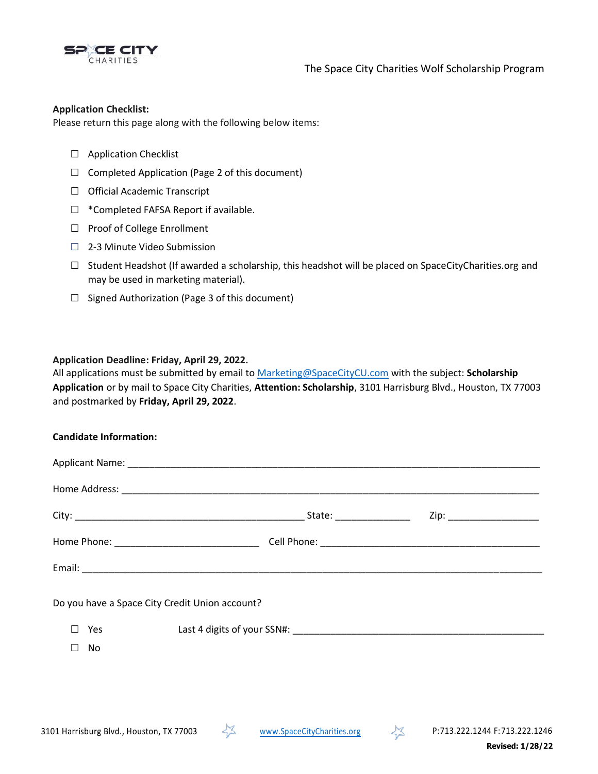

The Space City Charities Wolf Scholarship Program

#### **Application Checklist:**

Please return this page along with the following below items:

- □ Application Checklist
- $\Box$  Completed Application (Page 2 of this document)
- □ Official Academic Transcript
- □ \*Completed FAFSA Report if available.
- □ Proof of College Enrollment
- □ 2-3 Minute Video Submission
- $\Box$  Student Headshot (If awarded a scholarship, this headshot will be placed on SpaceCityCharities.org and may be used in marketing material).
- $\Box$  Signed Authorization (Page 3 of this document)

#### **Application Deadline: Friday, April 29, 2022.**

All applications must be submitted by email to [Marketing@SpaceCityCU.com](mailto:Marketing@SpaceCityCU.com) with the subject: **Scholarship Application** or by mail to Space City Charities, **Attention: Scholarship**, 3101 Harrisburg Blvd., Houston, TX 77003 and postmarked by **Friday, April 29, 2022**.

#### **Candidate Information:**

|                                                | Zip: _________________________ |
|------------------------------------------------|--------------------------------|
|                                                |                                |
|                                                |                                |
| Do you have a Space City Credit Union account? |                                |
| Yes<br>$\mathsf{L}$                            |                                |
| П<br>No                                        |                                |
|                                                |                                |



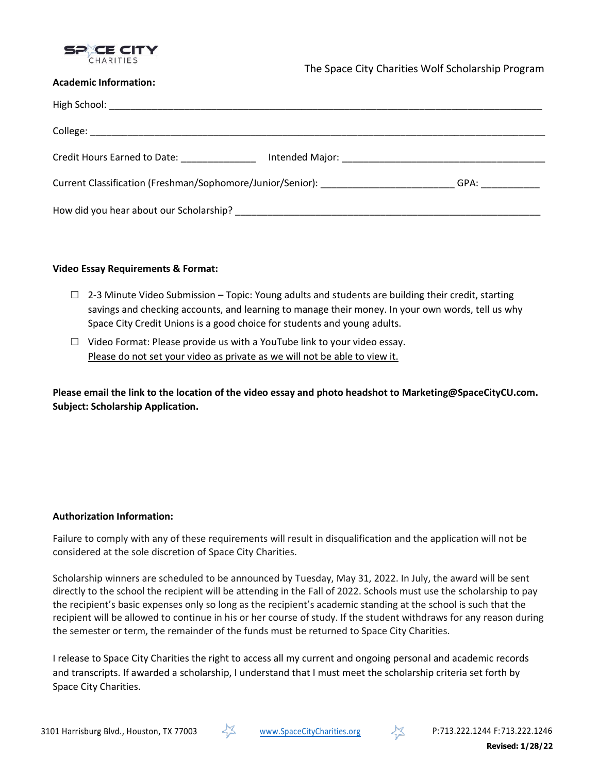

#### **Academic Information:**

| Credit Hours Earned to Date: North Management Credit Hours                                                                                                                                                                     |  |  |  |
|--------------------------------------------------------------------------------------------------------------------------------------------------------------------------------------------------------------------------------|--|--|--|
| Current Classification (Freshman/Sophomore/Junior/Senior): _____________________<br>GPA: ____________                                                                                                                          |  |  |  |
| How did you hear about our Scholarship? Department of the state of the state of the state of the state of the state of the state of the state of the state of the state of the state of the state of the state of the state of |  |  |  |

#### **Video Essay Requirements & Format:**

- $\Box$  2-3 Minute Video Submission Topic: Young adults and students are building their credit, starting savings and checking accounts, and learning to manage their money. In your own words, tell us why Space City Credit Unions is a good choice for students and young adults.
- $\Box$  Video Format: Please provide us with a YouTube link to your video essay. Please do not set your video as private as we will not be able to view it.

**Please email the link to the location of the video essay and photo headshot to Marketing@SpaceCityCU.com. Subject: Scholarship Application.**

## **Authorization Information:**

Failure to comply with any of these requirements will result in disqualification and the application will not be considered at the sole discretion of Space City Charities.

Scholarship winners are scheduled to be announced by Tuesday, May 31, 2022. In July, the award will be sent directly to the school the recipient will be attending in the Fall of 2022. Schools must use the scholarship to pay the recipient's basic expenses only so long as the recipient's academic standing at the school is such that the recipient will be allowed to continue in his or her course of study. If the student withdraws for any reason during the semester or term, the remainder of the funds must be returned to Space City Charities.

I release to Space City Charities the right to access all my current and ongoing personal and academic records and transcripts. If awarded a scholarship, I understand that I must meet the scholarship criteria set forth by Space City Charities.